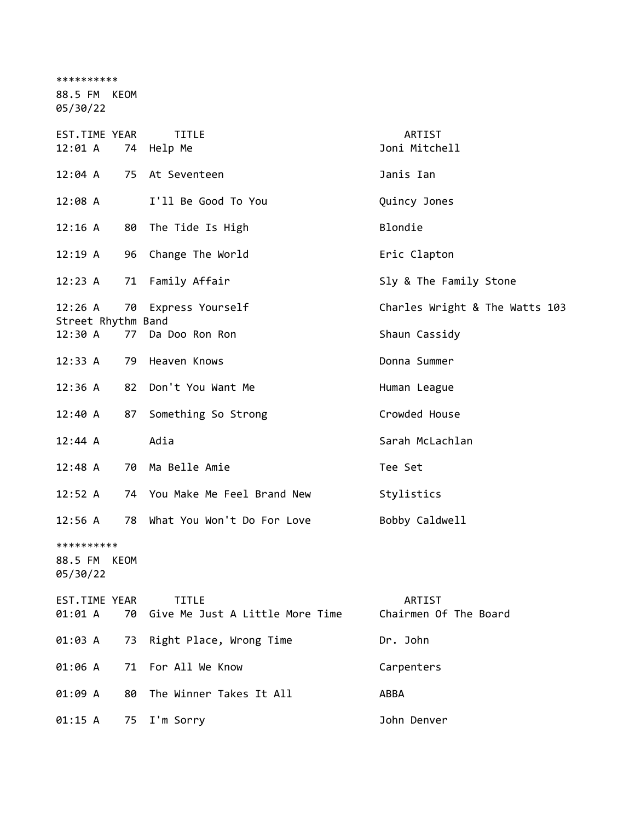| **********                    |    |                                          |                                 |
|-------------------------------|----|------------------------------------------|---------------------------------|
| 88.5 FM KEOM<br>05/30/22      |    |                                          |                                 |
| EST.TIME YEAR<br>12:01 A      |    | <b>TITLE</b><br>74 Help Me               | ARTIST<br>Joni Mitchell         |
| $12:04$ A                     |    | 75 At Seventeen                          | Janis Ian                       |
| 12:08 A                       |    | I'll Be Good To You                      | Quincy Jones                    |
| 12:16 A                       |    | 80 The Tide Is High                      | Blondie                         |
| 12:19A                        | 96 | Change The World                         | Eric Clapton                    |
| 12:23 A                       | 71 | Family Affair                            | Sly & The Family Stone          |
| 12:26 A<br>Street Rhythm Band | 70 | Express Yourself                         | Charles Wright & The Watts 103  |
| 12:30 A                       | 77 | Da Doo Ron Ron                           | Shaun Cassidy                   |
| 12:33 A                       | 79 | Heaven Knows                             | Donna Summer                    |
| 12:36 A                       | 82 | Don't You Want Me                        | Human League                    |
| 12:40 A                       | 87 | Something So Strong                      | Crowded House                   |
| 12:44 A                       |    | Adia                                     | Sarah McLachlan                 |
| 12:48 A                       |    | 70 Ma Belle Amie                         | Tee Set                         |
| 12:52 A                       |    | 74 You Make Me Feel Brand New            | Stylistics                      |
| 12:56 A                       | 78 | What You Won't Do For Love               | Bobby Caldwell                  |
| **********                    |    |                                          |                                 |
| 88.5 FM<br>KEOM<br>05/30/22   |    |                                          |                                 |
| EST.TIME YEAR<br>01:01 A      | 70 | TITLE<br>Give Me Just A Little More Time | ARTIST<br>Chairmen Of The Board |
| 01:03 A                       | 73 | Right Place, Wrong Time                  | Dr. John                        |
| 01:06 A                       | 71 | For All We Know                          | Carpenters                      |
| 01:09 A                       | 80 | The Winner Takes It All                  | <b>ABBA</b>                     |
| 01:15 A                       | 75 | I'm Sorry                                | John Denver                     |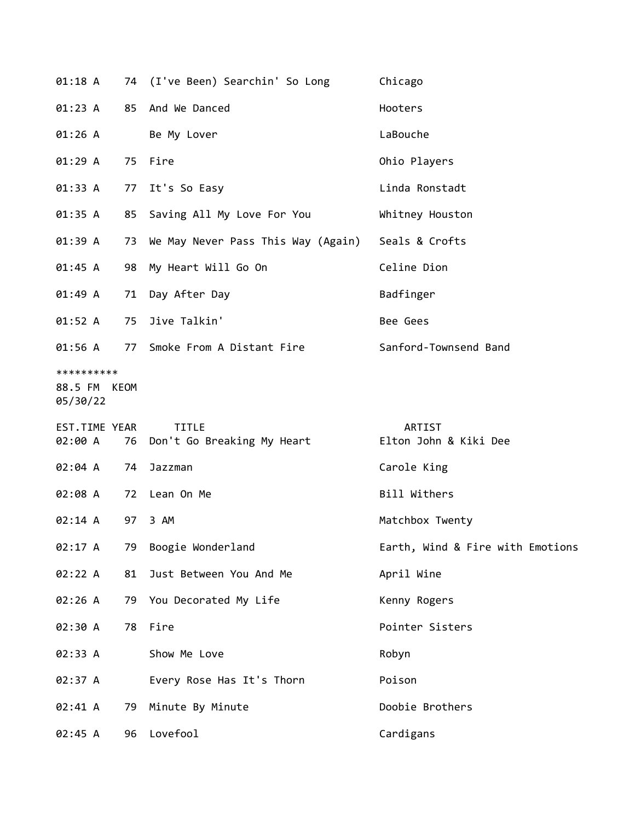| $01:18$ A                              |    | 74 (I've Been) Searchin' So Long              | Chicago                                |
|----------------------------------------|----|-----------------------------------------------|----------------------------------------|
|                                        |    | 01:23 A 85 And We Danced                      | Hooters                                |
| 01:26 A                                |    | Be My Lover                                   | LaBouche                               |
| 01:29A                                 |    | 75 Fire                                       | Ohio Players                           |
| 01:33 A                                |    | 77 It's So Easy                               | Linda Ronstadt                         |
| 01:35 A                                |    | 85 Saving All My Love For You                 | Whitney Houston                        |
| 01:39 A                                |    | 73 We May Never Pass This Way (Again)         | Seals & Crofts                         |
| 01:45 A                                |    | 98 My Heart Will Go On                        | Celine Dion                            |
| 01:49A                                 | 71 | Day After Day                                 | Badfinger                              |
| 01:52 A                                | 75 | Jive Talkin'                                  | Bee Gees                               |
| 01:56 A                                | 77 | Smoke From A Distant Fire                     | Sanford-Townsend Band                  |
| **********<br>88.5 FM KEOM<br>05/30/22 |    |                                               |                                        |
| EST.TIME YEAR<br>02:00 A               |    | <b>TITLE</b><br>76 Don't Go Breaking My Heart | <b>ARTIST</b><br>Elton John & Kiki Dee |
| 02:04 A                                | 74 | Jazzman                                       | Carole King                            |
| 02:08 A                                |    | 72 Lean On Me                                 | Bill Withers                           |
| 02:14 A                                | 97 | 3 AM                                          | Matchbox Twenty                        |
| 02:17 A                                | 79 | Boogie Wonderland                             | Earth, Wind & Fire with Emotions       |
| 02:22 A                                | 81 | Just Between You And Me                       | April Wine                             |
| 02:26 A                                |    | 79 You Decorated My Life                      | Kenny Rogers                           |
| 02:30 A                                | 78 | Fire                                          | Pointer Sisters                        |
| 02:33 A                                |    | Show Me Love                                  | Robyn                                  |
| 02:37 A                                |    | Every Rose Has It's Thorn                     | Poison                                 |
| 02:41 A                                | 79 | Minute By Minute                              | Doobie Brothers                        |
|                                        |    |                                               |                                        |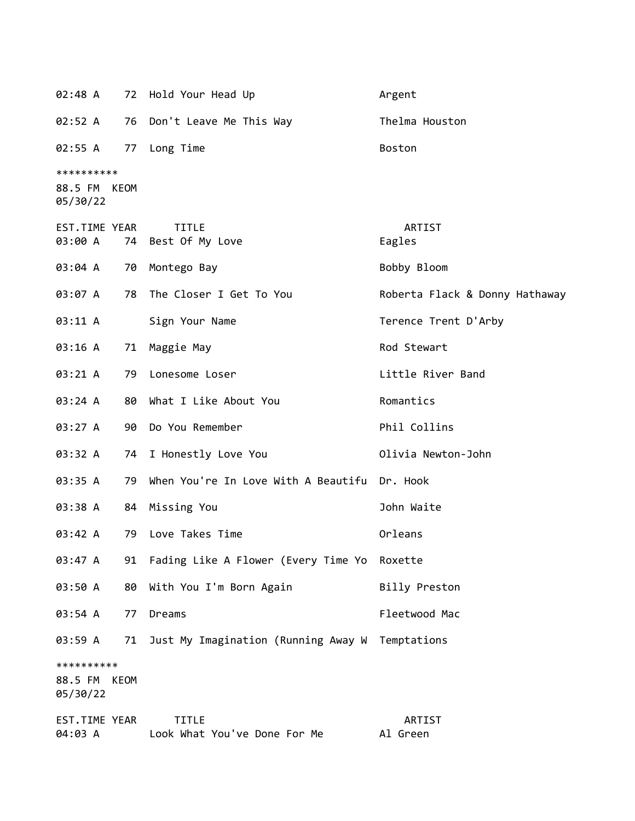|                                        |      | 02:48 A 72 Hold Your Head Up                    | Argent                         |
|----------------------------------------|------|-------------------------------------------------|--------------------------------|
| 02:52 A                                |      | 76 Don't Leave Me This Way                      | Thelma Houston                 |
| 02:55 A                                |      | 77 Long Time                                    | <b>Boston</b>                  |
| **********<br>88.5 FM KEOM<br>05/30/22 |      |                                                 |                                |
| EST.TIME YEAR<br>03:00 A               |      | <b>TITLE</b><br>74 Best Of My Love              | ARTIST<br>Eagles               |
| 03:04 A                                | 70   | Montego Bay                                     | Bobby Bloom                    |
| 03:07 A                                | 78   | The Closer I Get To You                         | Roberta Flack & Donny Hathaway |
| 03:11 A                                |      | Sign Your Name                                  | Terence Trent D'Arby           |
| 03:16 A                                | 71   | Maggie May                                      | Rod Stewart                    |
| 03:21 A                                | 79   | Lonesome Loser                                  | Little River Band              |
| 03:24 A                                |      | 80 What I Like About You                        | Romantics                      |
| 03:27 A                                |      | 90 Do You Remember                              | Phil Collins                   |
| 03:32 A                                |      | 74 I Honestly Love You                          | Olivia Newton-John             |
| 03:35 A                                | 79   | When You're In Love With A Beautifu Dr. Hook    |                                |
| 03:38 A                                |      | 84 Missing You                                  | John Waite                     |
| 03:42 A                                |      | 79 Love Takes Time                              | Orleans                        |
| 03:47 A                                | 91   | Fading Like A Flower (Every Time Yo             | Roxette                        |
| 03:50 A                                | 80   | With You I'm Born Again                         | Billy Preston                  |
| 03:54 A                                | 77   | Dreams                                          | Fleetwood Mac                  |
| 03:59 A                                | 71   | Just My Imagination (Running Away W Temptations |                                |
| **********<br>88.5 FM<br>05/30/22      | KEOM |                                                 |                                |
| EST.TIME YEAR<br>04:03 A               |      | <b>TITLE</b><br>Look What You've Done For Me    | ARTIST<br>Al Green             |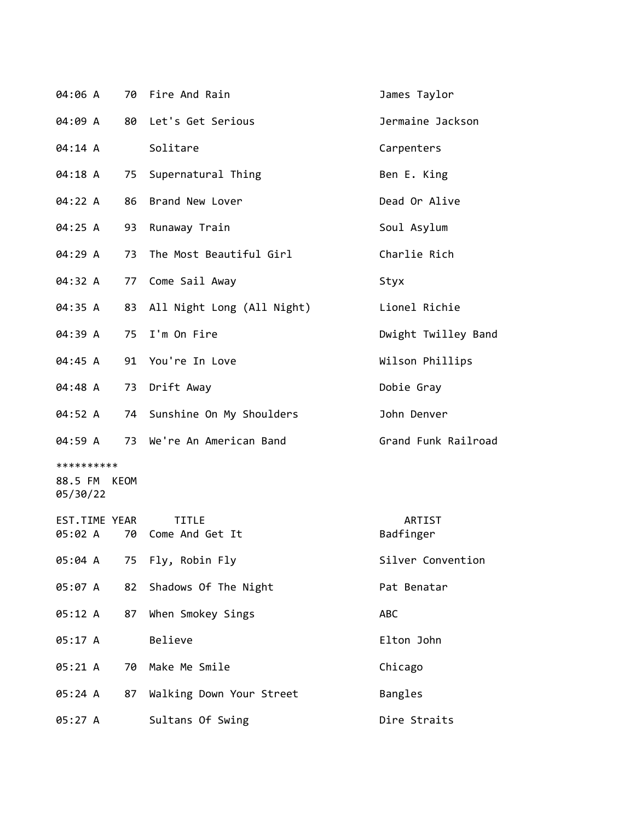| 04:06 A                                |    | 70 Fire And Rain                | James Taylor        |
|----------------------------------------|----|---------------------------------|---------------------|
| 04:09 A                                |    | 80 Let's Get Serious            | Jermaine Jackson    |
| 04:14 A                                |    | Solitare                        | Carpenters          |
| 04:18 A                                | 75 | Supernatural Thing              | Ben E. King         |
| 04:22 A                                | 86 | Brand New Lover                 | Dead Or Alive       |
| 04:25 A                                | 93 | Runaway Train                   | Soul Asylum         |
| 04:29 A                                | 73 | The Most Beautiful Girl         | Charlie Rich        |
| 04:32 A                                | 77 | Come Sail Away                  | Styx                |
| 04:35 A                                |    | 83 All Night Long (All Night)   | Lionel Richie       |
| 04:39 A                                | 75 | I'm On Fire                     | Dwight Twilley Band |
| 04:45 A                                |    | 91 You're In Love               | Wilson Phillips     |
| 04:48 A                                |    | 73 Drift Away                   | Dobie Gray          |
| 04:52 A                                |    | 74 Sunshine On My Shoulders     | John Denver         |
| 04:59 A                                |    | 73 We're An American Band       | Grand Funk Railroad |
| **********<br>88.5 FM KEOM<br>05/30/22 |    |                                 |                     |
| EST.TIME YEAR<br>05:02 A               | 70 | <b>TITLE</b><br>Come And Get It | ARTIST<br>Badfinger |
| 05:04 A                                |    | 75 Fly, Robin Fly               | Silver Convention   |
| 05:07 A                                | 82 | Shadows Of The Night            | Pat Benatar         |
| 05:12 A                                | 87 | When Smokey Sings               | <b>ABC</b>          |
| 05:17A                                 |    | Believe                         | Elton John          |
| 05:21 A                                | 70 | Make Me Smile                   | Chicago             |
| 05:24 A                                |    | 87 Walking Down Your Street     | Bangles             |
| 05:27 A                                |    | Sultans Of Swing                | Dire Straits        |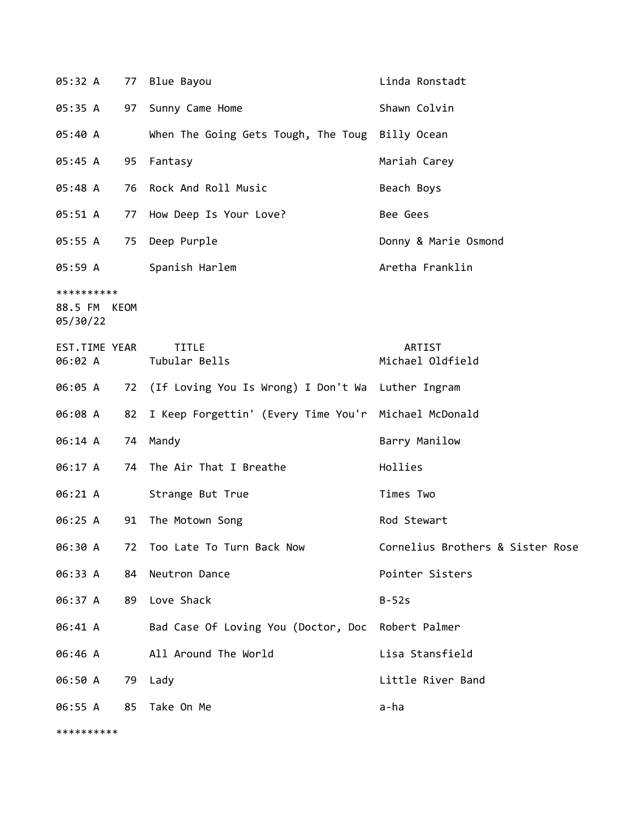| 05:32 A                                | 77 | Blue Bayou                                           | Linda Ronstadt                   |
|----------------------------------------|----|------------------------------------------------------|----------------------------------|
| 05:35 A                                | 97 | Sunny Came Home                                      | Shawn Colvin                     |
| 05:40 A                                |    | When The Going Gets Tough, The Toug Billy Ocean      |                                  |
| 05:45 A                                | 95 | Fantasy                                              | Mariah Carey                     |
| 05:48 A                                | 76 | Rock And Roll Music                                  | Beach Boys                       |
| 05:51 A                                | 77 | How Deep Is Your Love?                               | Bee Gees                         |
| 05:55 A                                | 75 | Deep Purple                                          | Donny & Marie Osmond             |
| 05:59 A                                |    | Spanish Harlem                                       | Aretha Franklin                  |
| **********<br>88.5 FM KEOM<br>05/30/22 |    |                                                      |                                  |
| EST.TIME YEAR<br>06:02 A               |    | <b>TITLE</b><br>Tubular Bells                        | ARTIST<br>Michael Oldfield       |
| 06:05 A                                |    | 72 (If Loving You Is Wrong) I Don't Wa Luther Ingram |                                  |
| 06:08 A                                | 82 | I Keep Forgettin' (Every Time You'r Michael McDonald |                                  |
| 06:14 A                                |    | 74 Mandy                                             | Barry Manilow                    |
| 06:17 A                                | 74 | The Air That I Breathe                               | Hollies                          |
| 06:21 A                                |    | Strange But True                                     | Times Two                        |
| 06:25 A                                | 91 | The Motown Song                                      | Rod Stewart                      |
|                                        |    | 06:30 A 72 Too Late To Turn Back Now                 | Cornelius Brothers & Sister Rose |
| 06:33 A                                |    | 84 Neutron Dance                                     | Pointer Sisters                  |
| 06:37 A                                |    | 89 Love Shack                                        | $B-52s$                          |
| 06:41 A                                |    | Bad Case Of Loving You (Doctor, Doc Robert Palmer    |                                  |
| 06:46 A                                |    | All Around The World                                 | Lisa Stansfield                  |
| 06:50 A                                |    | 79 Lady                                              | Little River Band                |
|                                        |    | 06:55 A 85 Take On Me                                | a-ha                             |
| **********                             |    |                                                      |                                  |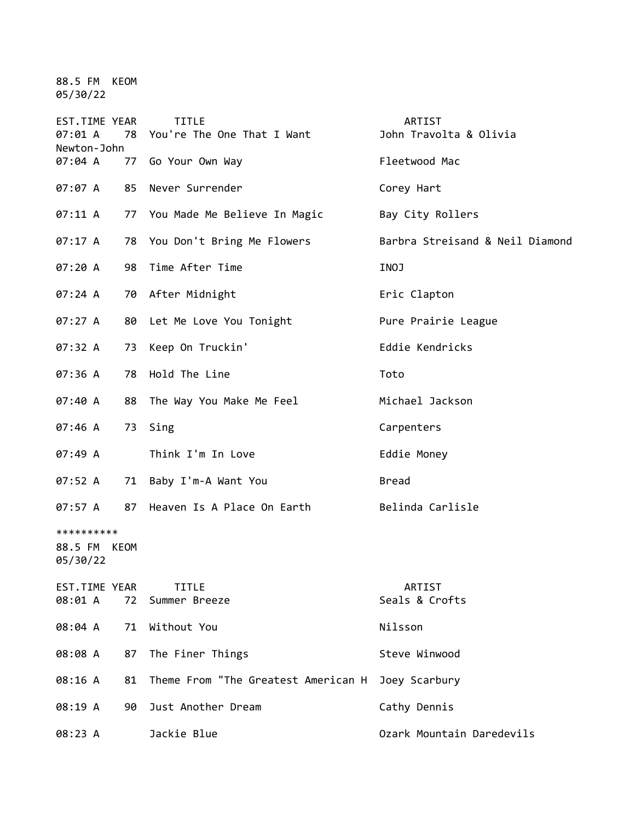88.5 FM KEOM 05/30/22

| EST.TIME YEAR<br>07:01 A<br>Newton-John | 78 | <b>TITLE</b><br>You're The One That I Want | ARTIST<br>John Travolta & Olivia |
|-----------------------------------------|----|--------------------------------------------|----------------------------------|
| 07:04 A                                 | 77 | Go Your Own Way                            | Fleetwood Mac                    |
| 07:07 A                                 | 85 | Never Surrender                            | Corey Hart                       |
| 07:11 A                                 |    | 77 You Made Me Believe In Magic            | Bay City Rollers                 |
| 07:17 A                                 |    | 78 You Don't Bring Me Flowers              | Barbra Streisand & Neil Diamond  |
| 07:20 A                                 | 98 | Time After Time                            | INOJ                             |
| 07:24 A                                 |    | 70 After Midnight                          | Eric Clapton                     |
| 07:27 A                                 | 80 | Let Me Love You Tonight                    | Pure Prairie League              |
| 07:32 A                                 | 73 | Keep On Truckin'                           | Eddie Kendricks                  |
| 07:36 A                                 | 78 | Hold The Line                              | Toto                             |
| 07:40 A                                 | 88 | The Way You Make Me Feel                   | Michael Jackson                  |
| 07:46 A                                 | 73 | Sing                                       | Carpenters                       |
| 07:49A                                  |    | Think I'm In Love                          | Eddie Money                      |
| 07:52 A                                 | 71 | Baby I'm-A Want You                        | <b>Bread</b>                     |
| 07:57 A                                 | 87 | Heaven Is A Place On Earth                 | Belinda Carlisle                 |
| **********<br>88.5 FM KEOM<br>05/30/22  |    |                                            |                                  |
| EST.TIME YEAR<br>08:01 A                | 72 | <b>TITLE</b><br>Summer Breeze              | ARTIST<br>Seals & Crofts         |
| 08:04 A                                 | 71 | Without You                                | Nilsson                          |
| 08:08 A                                 | 87 | The Finer Things                           | Steve Winwood                    |
| 08:16 A                                 | 81 | Theme From "The Greatest American H        | Joey Scarbury                    |
| 08:19 A                                 | 90 | Just Another Dream                         | Cathy Dennis                     |
| 08:23 A                                 |    | Jackie Blue                                | Ozark Mountain Daredevils        |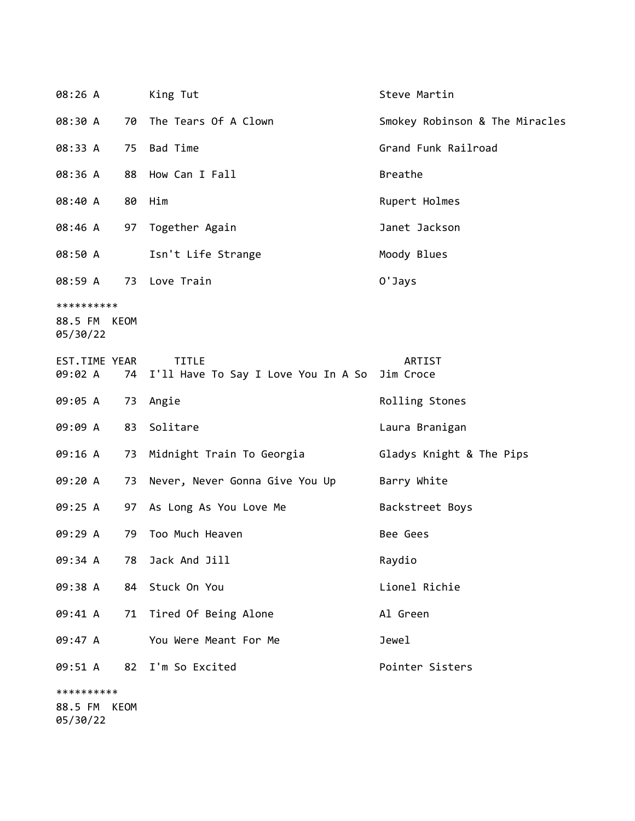| 08:26 A                                |    | King Tut                                                      | Steve Martin                   |
|----------------------------------------|----|---------------------------------------------------------------|--------------------------------|
| 08:30 A                                | 70 | The Tears Of A Clown                                          | Smokey Robinson & The Miracles |
| 08:33 A                                | 75 | Bad Time                                                      | Grand Funk Railroad            |
| 08:36 A                                | 88 | How Can I Fall                                                | <b>Breathe</b>                 |
| 08:40 A                                | 80 | Him                                                           | Rupert Holmes                  |
| 08:46 A                                |    | 97 Together Again                                             | Janet Jackson                  |
| 08:50 A                                |    | Isn't Life Strange                                            | Moody Blues                    |
| 08:59 A 73 Love Train                  |    |                                                               | 0'Jays                         |
| **********<br>88.5 FM KEOM<br>05/30/22 |    |                                                               |                                |
| EST.TIME YEAR<br>09:02 A               | 74 | <b>TITLE</b><br>I'll Have To Say I Love You In A So Jim Croce | ARTIST                         |
| 09:05 A                                |    | 73 Angie                                                      | Rolling Stones                 |
| 09:09 A                                | 83 | Solitare                                                      | Laura Branigan                 |
| 09:16 A                                | 73 | Midnight Train To Georgia                                     | Gladys Knight & The Pips       |
| 09:20 A                                | 73 | Never, Never Gonna Give You Up                                | Barry White                    |
| 09:25 A                                |    | 97 As Long As You Love Me                                     | Backstreet Boys                |
| 09:29 A                                | 79 | Too Much Heaven                                               | Bee Gees                       |
|                                        |    | 09:34 A 78 Jack And Jill                                      | Raydio                         |
|                                        |    | 09:38 A 84 Stuck On You                                       | Lionel Richie                  |
|                                        |    | 09:41 A 71 Tired Of Being Alone                               | Al Green                       |
| 09:47 A                                |    | You Were Meant For Me                                         | Jewel                          |
| 09:51 A                                |    | 82 I'm So Excited                                             | Pointer Sisters                |
| **********<br>88.5 FM KEOM             |    |                                                               |                                |

05/30/22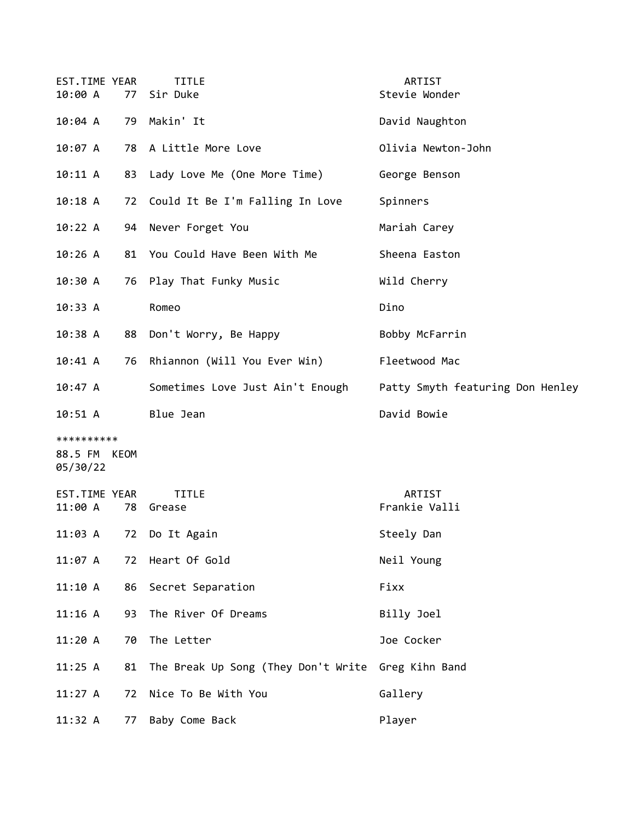| EST.TIME YEAR<br>10:00 A               | 77 | <b>TITLE</b><br>Sir Duke                           | ARTIST<br>Stevie Wonder          |
|----------------------------------------|----|----------------------------------------------------|----------------------------------|
| 10:04 A                                |    | 79 Makin' It                                       | David Naughton                   |
| 10:07 A                                |    | 78 A Little More Love                              | Olivia Newton-John               |
| 10:11 A                                |    | 83 Lady Love Me (One More Time)                    | George Benson                    |
| $10:18$ A                              |    | 72 Could It Be I'm Falling In Love                 | Spinners                         |
| 10:22 A                                |    | 94 Never Forget You                                | Mariah Carey                     |
| 10:26A                                 | 81 | You Could Have Been With Me                        | Sheena Easton                    |
| 10:30 A                                | 76 | Play That Funky Music                              | Wild Cherry                      |
| 10:33 A                                |    | Romeo                                              | Dino                             |
| 10:38A                                 |    | 88 Don't Worry, Be Happy                           | Bobby McFarrin                   |
| 10:41 A                                | 76 | Rhiannon (Will You Ever Win)                       | Fleetwood Mac                    |
| $10:47$ A                              |    | Sometimes Love Just Ain't Enough                   | Patty Smyth featuring Don Henley |
| $10:51 \; A$                           |    | Blue Jean                                          | David Bowie                      |
| **********<br>88.5 FM KEOM<br>05/30/22 |    |                                                    |                                  |
| EST.TIME YEAR<br>11:00 A               |    | <b>TITLE</b><br>78 Grease                          | ARTIST<br>Frankie Valli          |
| 11:03 A                                |    | 72 Do It Again                                     | Steely Dan                       |
| 11:07 A                                |    | 72 Heart Of Gold                                   | Neil Young                       |
| 11:10 A                                |    | 86 Secret Separation                               | Fixx                             |
| 11:16 A                                | 93 | The River Of Dreams                                | Billy Joel                       |
| 11:20A                                 | 70 | The Letter                                         | Joe Cocker                       |
| 11:25 A                                | 81 | The Break Up Song (They Don't Write Greg Kihn Band |                                  |
| 11:27 A                                | 72 | Nice To Be With You                                | Gallery                          |
| 11:32 A                                | 77 | Baby Come Back                                     | Player                           |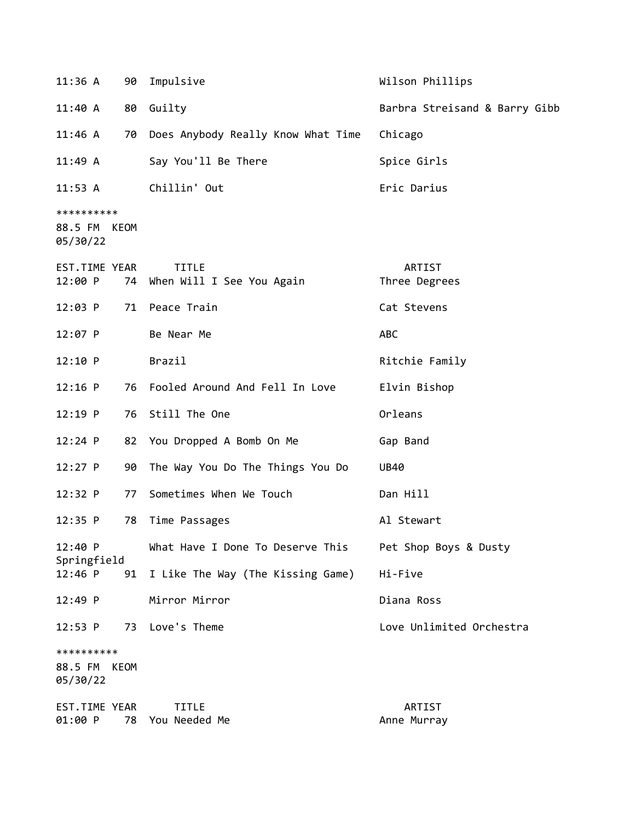| 11:36A                                 |             | 90 Impulsive                              | Wilson Phillips               |
|----------------------------------------|-------------|-------------------------------------------|-------------------------------|
| 11:40A                                 |             | 80 Guilty                                 | Barbra Streisand & Barry Gibb |
| 11:46 A                                |             | 70 Does Anybody Really Know What Time     | Chicago                       |
| 11:49A                                 |             | Say You'll Be There                       | Spice Girls                   |
| 11:53 A                                |             | Chillin' Out                              | Eric Darius                   |
| **********<br>88.5 FM KEOM<br>05/30/22 |             |                                           |                               |
| EST.TIME YEAR<br>12:00 P               | 74          | <b>TITLE</b><br>When Will I See You Again | ARTIST<br>Three Degrees       |
| $12:03$ P                              |             | 71 Peace Train                            | Cat Stevens                   |
| $12:07$ P                              |             | Be Near Me                                | ABC                           |
| 12:10 P                                |             | Brazil                                    | Ritchie Family                |
| $12:16$ P                              |             | 76 Fooled Around And Fell In Love         | Elvin Bishop                  |
| $12:19$ P                              | 76          | Still The One                             | Orleans                       |
| $12:24$ P                              |             | 82 You Dropped A Bomb On Me               | Gap Band                      |
| $12:27$ P                              | 90          | The Way You Do The Things You Do          | UB40                          |
| 12:32 P                                | 77          | Sometimes When We Touch                   | Dan Hill                      |
| $12:35$ P                              | 78          | Time Passages                             | Al Stewart                    |
| 12:40 P<br>Springfield                 |             | What Have I Done To Deserve This          | Pet Shop Boys & Dusty         |
| $12:46$ P                              | 91          | I Like The Way (The Kissing Game)         | Hi-Five                       |
| 12:49 P                                |             | Mirror Mirror                             | Diana Ross                    |
| $12:53$ P                              |             | 73 Love's Theme                           | Love Unlimited Orchestra      |
| **********                             |             |                                           |                               |
| 88.5 FM<br>05/30/22                    | <b>KEOM</b> |                                           |                               |
| EST.TIME YEAR<br>01:00 P               |             | <b>TITLE</b><br>78 You Needed Me          | ARTIST<br>Anne Murray         |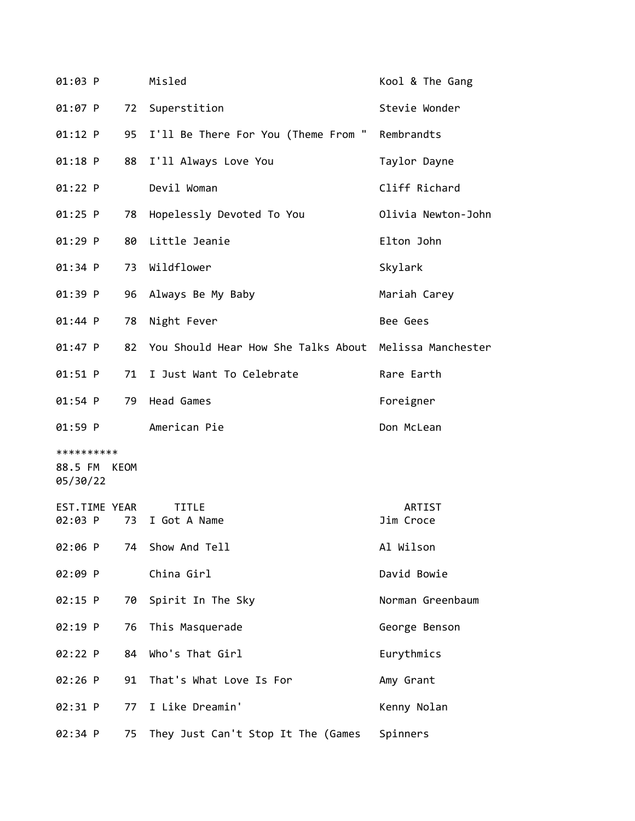| 01:03 P                                |    | Misled                                                 | Kool & The Gang     |
|----------------------------------------|----|--------------------------------------------------------|---------------------|
| 01:07 P                                |    | 72 Superstition                                        | Stevie Wonder       |
| 01:12 P                                | 95 | I'll Be There For You (Theme From "                    | Rembrandts          |
| $01:18$ P                              | 88 | I'll Always Love You                                   | Taylor Dayne        |
| 01:22 P                                |    | Devil Woman                                            | Cliff Richard       |
| $01:25$ P                              | 78 | Hopelessly Devoted To You                              | Olivia Newton-John  |
| $01:29$ P                              |    | 80 Little Jeanie                                       | Elton John          |
| 01:34 P                                |    | 73 Wildflower                                          | Skylark             |
| 01:39 P                                | 96 | Always Be My Baby                                      | Mariah Carey        |
| 01:44 P                                | 78 | Night Fever                                            | Bee Gees            |
| 01:47 P                                | 82 | You Should Hear How She Talks About Melissa Manchester |                     |
| 01:51 P                                | 71 | I Just Want To Celebrate                               | Rare Earth          |
| 01:54 P                                | 79 | Head Games                                             | Foreigner           |
| 01:59 P                                |    | American Pie                                           | Don McLean          |
| **********<br>88.5 FM KEOM<br>05/30/22 |    |                                                        |                     |
| EST.TIME YEAR<br>02:03 P               | 73 | <b>TITLE</b><br>I Got A Name                           | ARTIST<br>Jim Croce |
| 02:06 P                                | 74 | Show And Tell                                          | Al Wilson           |
| 02:09 P                                |    | China Girl                                             | David Bowie         |
| $02:15$ P                              | 70 | Spirit In The Sky                                      | Norman Greenbaum    |
| 02:19 P                                | 76 | This Masquerade                                        | George Benson       |
| 02:22 P                                | 84 | Who's That Girl                                        | Eurythmics          |
| 02:26 P                                | 91 | That's What Love Is For                                | Amy Grant           |
| 02:31 P                                | 77 | I Like Dreamin'                                        | Kenny Nolan         |
| 02:34 P                                | 75 | They Just Can't Stop It The (Games Spinners            |                     |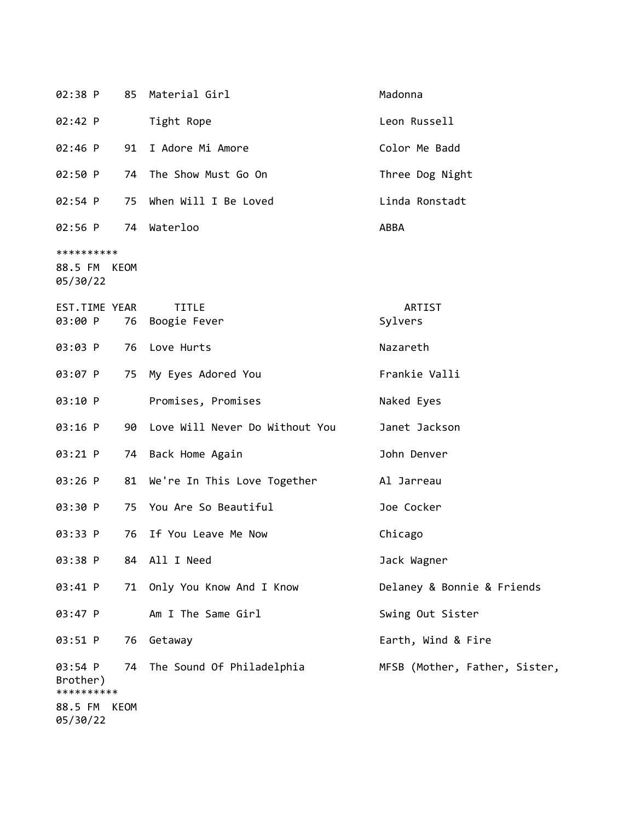| 02:38 P                                |      | 85 Material Girl                  | Madonna                       |
|----------------------------------------|------|-----------------------------------|-------------------------------|
| 02:42 P                                |      | Tight Rope                        | Leon Russell                  |
| 02:46 P                                | 91   | I Adore Mi Amore                  | Color Me Badd                 |
| 02:50 P                                | 74   | The Show Must Go On               | Three Dog Night               |
| 02:54 P                                | 75   | When Will I Be Loved              | Linda Ronstadt                |
| 02:56 P 74 Waterloo                    |      |                                   | ABBA                          |
| **********<br>88.5 FM KEOM<br>05/30/22 |      |                                   |                               |
| EST.TIME YEAR<br>03:00 P               |      | <b>TITLE</b><br>76 Boogie Fever   | ARTIST<br>Sylvers             |
| 03:03 P                                |      | 76 Love Hurts                     | Nazareth                      |
| 03:07 P                                | 75   | My Eyes Adored You                | Frankie Valli                 |
| 03:10 P                                |      | Promises, Promises                | Naked Eyes                    |
| 03:16 P                                |      | 90 Love Will Never Do Without You | Janet Jackson                 |
| 03:21 P                                |      | 74 Back Home Again                | John Denver                   |
| $03:26$ P                              |      | 81 We're In This Love Together    | Al Jarreau                    |
| 03:30 P                                |      | 75 You Are So Beautiful           | Joe Cocker                    |
| 03:33 P                                | 76   | If You Leave Me Now               | Chicago                       |
| 03:38 P                                |      | 84 All I Need                     | Jack Wagner                   |
| 03:41 P                                | 71   | Only You Know And I Know          | Delaney & Bonnie & Friends    |
| 03:47 P                                |      | Am I The Same Girl                | Swing Out Sister              |
| 03:51 P                                | 76   | Getaway                           | Earth, Wind & Fire            |
| 03:54 P<br>Brother)<br>**********      |      | 74 The Sound Of Philadelphia      | MFSB (Mother, Father, Sister, |
| 88.5 FM<br>05/30/22                    | KEOM |                                   |                               |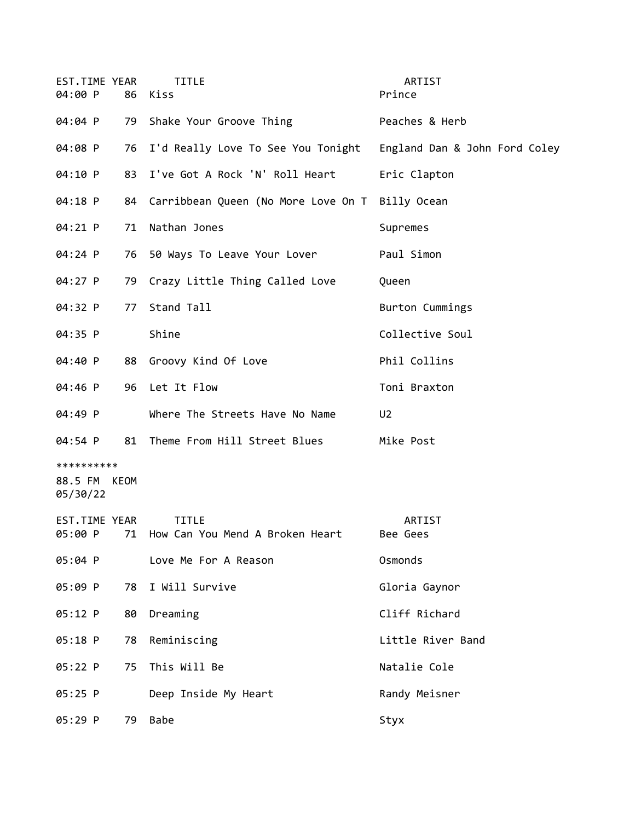| EST.TIME YEAR<br>04:00 P               | 86 | <b>TITLE</b><br>Kiss                               | ARTIST<br>Prince              |
|----------------------------------------|----|----------------------------------------------------|-------------------------------|
| 04:04 P                                | 79 | Shake Your Groove Thing                            | Peaches & Herb                |
| 04:08 P                                |    | 76 I'd Really Love To See You Tonight              | England Dan & John Ford Coley |
| 04:10 P                                | 83 | I've Got A Rock 'N' Roll Heart                     | Eric Clapton                  |
| 04:18 P                                |    | 84 Carribbean Queen (No More Love On T Billy Ocean |                               |
| 04:21 P                                | 71 | Nathan Jones                                       | Supremes                      |
| 04:24 P                                |    | 76 50 Ways To Leave Your Lover                     | Paul Simon                    |
| 04:27 P                                |    | 79 Crazy Little Thing Called Love                  | Queen                         |
| 04:32 P                                | 77 | Stand Tall                                         | Burton Cummings               |
| 04:35 P                                |    | Shine                                              | Collective Soul               |
| 04:40 P                                |    | 88 Groovy Kind Of Love                             | Phil Collins                  |
| 04:46 P                                |    | 96 Let It Flow                                     | Toni Braxton                  |
| 04:49 P                                |    | Where The Streets Have No Name                     | U <sub>2</sub>                |
| 04:54 P                                | 81 | Theme From Hill Street Blues                       | Mike Post                     |
| **********<br>88.5 FM KEOM<br>05/30/22 |    |                                                    |                               |
| EST.TIME YEAR<br>05:00 P               | 71 | <b>TITLE</b><br>How Can You Mend A Broken Heart    | ARTIST<br>Bee Gees            |
| 05:04 P                                |    | Love Me For A Reason                               | Osmonds                       |
| 05:09 P                                | 78 | I Will Survive                                     | Gloria Gaynor                 |
| 05:12 P                                | 80 | Dreaming                                           | Cliff Richard                 |
| 05:18 P                                | 78 | Reminiscing                                        | Little River Band             |
| 05:22 P                                | 75 | This Will Be                                       | Natalie Cole                  |
| 05:25 P                                |    | Deep Inside My Heart                               | Randy Meisner                 |
| 05:29 P                                | 79 | <b>Babe</b>                                        | Styx                          |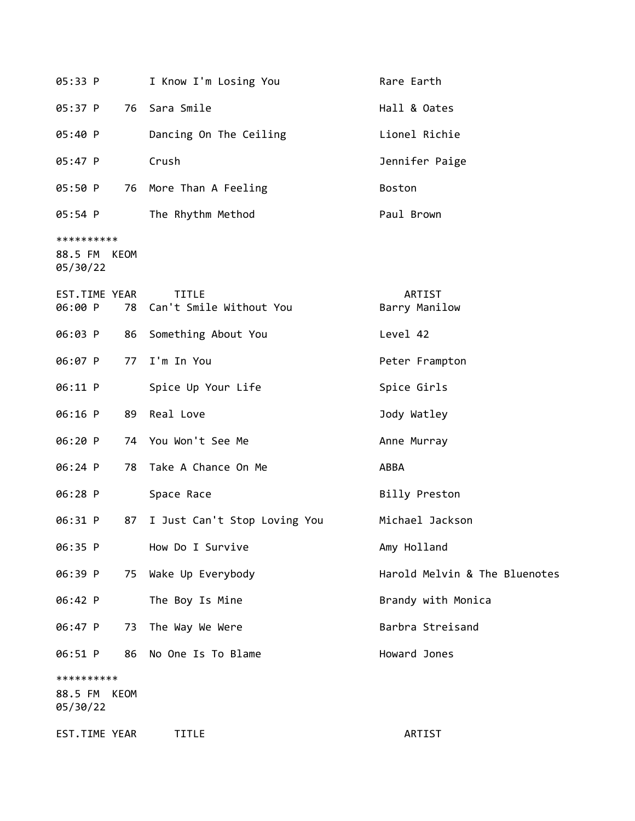| 05:33 P                                   | I Know I'm Losing You                      | Rare Earth                    |
|-------------------------------------------|--------------------------------------------|-------------------------------|
| 05:37 P<br>76                             | Sara Smile                                 | Hall & Oates                  |
| 05:40 P                                   | Dancing On The Ceiling                     | Lionel Richie                 |
| 05:47 P                                   | Crush                                      | Jennifer Paige                |
| 05:50 P                                   | 76 More Than A Feeling                     | Boston                        |
| 05:54 P                                   | The Rhythm Method                          | Paul Brown                    |
| **********<br>88.5 FM KEOM<br>05/30/22    |                                            |                               |
| EST.TIME YEAR<br>06:00 P                  | <b>TITLE</b><br>78 Can't Smile Without You | ARTIST<br>Barry Manilow       |
| 06:03 P<br>86                             | Something About You                        | Level 42                      |
| 06:07 P                                   | 77 I'm In You                              | Peter Frampton                |
| 06:11 P                                   | Spice Up Your Life                         | Spice Girls                   |
| 06:16 P<br>89                             | Real Love                                  | Jody Watley                   |
| 06:20 P                                   | 74 You Won't See Me                        | Anne Murray                   |
| 06:24 P<br>78                             | Take A Chance On Me                        | ABBA                          |
| 06:28 P                                   | Space Race                                 | Billy Preston                 |
| 06:31 P<br>87                             | I Just Can't Stop Loving You               | Michael Jackson               |
| 06:35 P                                   | How Do I Survive                           | Amy Holland                   |
| 06:39 P<br>75                             | Wake Up Everybody                          | Harold Melvin & The Bluenotes |
| 06:42 P                                   | The Boy Is Mine                            | Brandy with Monica            |
| 06:47 P<br>73                             | The Way We Were                            | Barbra Streisand              |
| 06:51 P<br>86                             | No One Is To Blame                         | Howard Jones                  |
| **********<br>88.5 FM<br>KEOM<br>05/30/22 |                                            |                               |
| EST.TIME YEAR                             | TITLE                                      | ARTIST                        |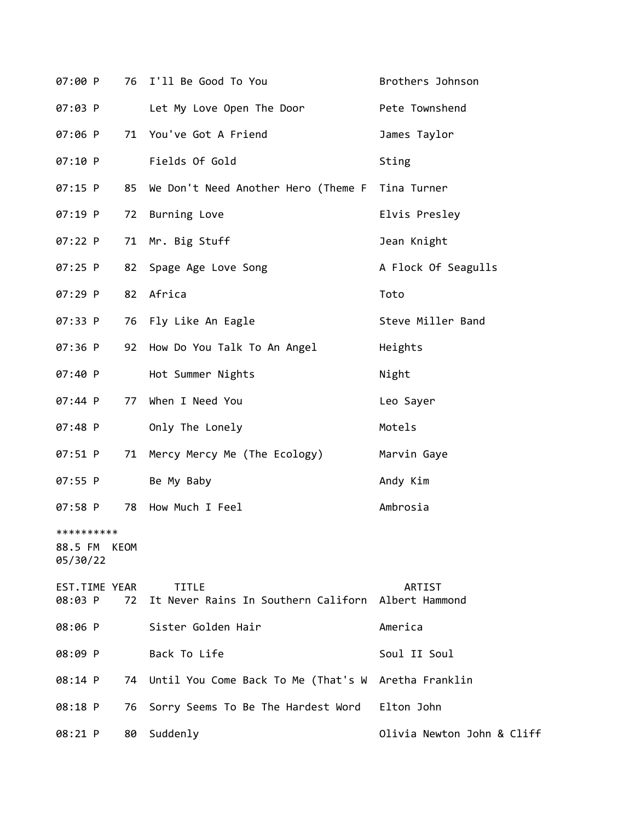| 07:00 P                           |             | 76 I'll Be Good To You                                             | Brothers Johnson           |
|-----------------------------------|-------------|--------------------------------------------------------------------|----------------------------|
| 07:03 P                           |             | Let My Love Open The Door                                          | Pete Townshend             |
| $07:06$ P                         | 71          | You've Got A Friend                                                | James Taylor               |
| 07:10 P                           |             | Fields Of Gold                                                     | Sting                      |
| 07:15 P                           |             | 85 We Don't Need Another Hero (Theme F Tina Turner                 |                            |
| 07:19 P                           | 72          | Burning Love                                                       | Elvis Presley              |
| $07:22$ P                         | 71          | Mr. Big Stuff                                                      | Jean Knight                |
| 07:25 P                           | 82          | Spage Age Love Song                                                | A Flock Of Seagulls        |
| 07:29 P                           | 82          | Africa                                                             | Toto                       |
| 07:33 P                           | 76          | Fly Like An Eagle                                                  | Steve Miller Band          |
| 07:36 P                           | 92          | How Do You Talk To An Angel                                        | Heights                    |
| 07:40 P                           |             | Hot Summer Nights                                                  | Night                      |
| 07:44 P                           | 77          | When I Need You                                                    | Leo Sayer                  |
| 07:48 P                           |             | Only The Lonely                                                    | Motels                     |
| 07:51 P                           | 71          | Mercy Mercy Me (The Ecology)                                       | Marvin Gaye                |
| 07:55 P                           |             | Be My Baby                                                         | Andy Kim                   |
| 07:58 P                           | 78          | How Much I Feel                                                    | Ambrosia                   |
| **********<br>88.5 FM<br>05/30/22 | <b>KEOM</b> |                                                                    |                            |
| EST.TIME YEAR<br>08:03 P          | 72          | <b>TITLE</b><br>It Never Rains In Southern Californ Albert Hammond | ARTIST                     |
| 08:06 P                           |             | Sister Golden Hair                                                 | America                    |
| 08:09 P                           |             | Back To Life                                                       | Soul II Soul               |
| 08:14 P                           | 74.         | Until You Come Back To Me (That's W Aretha Franklin                |                            |
| 08:18 P                           | 76          | Sorry Seems To Be The Hardest Word                                 | Elton John                 |
| 08:21 P                           | 80          | Suddenly                                                           | Olivia Newton John & Cliff |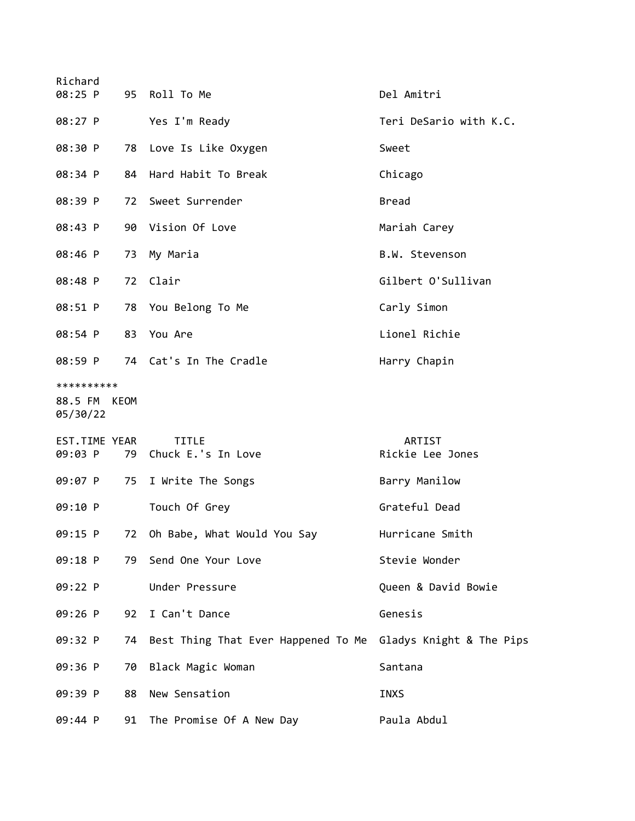| Richard                                |    |                                                              |                            |
|----------------------------------------|----|--------------------------------------------------------------|----------------------------|
| 08:25 P                                |    | 95 Roll To Me                                                | Del Amitri                 |
| 08:27 P                                |    | Yes I'm Ready                                                | Teri DeSario with K.C.     |
| 08:30 P                                |    | 78 Love Is Like Oxygen                                       | Sweet                      |
| 08:34 P                                | 84 | Hard Habit To Break                                          | Chicago                    |
| 08:39 P                                |    | 72 Sweet Surrender                                           | <b>Bread</b>               |
| 08:43 P                                |    | 90 Vision Of Love                                            | Mariah Carey               |
| 08:46 P                                |    | 73 My Maria                                                  | B.W. Stevenson             |
| 08:48 P                                | 72 | Clair                                                        | Gilbert O'Sullivan         |
| 08:51 P                                |    | 78 You Belong To Me                                          | Carly Simon                |
| 08:54 P                                | 83 | You Are                                                      | Lionel Richie              |
| 08:59 P                                |    | 74 Cat's In The Cradle                                       | Harry Chapin               |
| **********<br>88.5 FM KEOM<br>05/30/22 |    |                                                              |                            |
| EST.TIME YEAR<br>09:03 P               |    | TITLE<br>79 Chuck E.'s In Love                               | ARTIST<br>Rickie Lee Jones |
| 09:07 P                                |    | 75 I Write The Songs                                         | Barry Manilow              |
| 09:10 P                                |    | Touch Of Grey                                                | Grateful Dead              |
| $09:15$ P                              | 72 | Oh Babe, What Would You Say                                  | Hurricane Smith            |
| 09:18 P                                |    | 79 Send One Your Love                                        | Stevie Wonder              |
| 09:22 P                                |    | Under Pressure                                               | Queen & David Bowie        |
| 09:26 P                                | 92 | I Can't Dance                                                | Genesis                    |
| 09:32 P                                | 74 | Best Thing That Ever Happened To Me Gladys Knight & The Pips |                            |
| 09:36 P                                | 70 | Black Magic Woman                                            | Santana                    |
| 09:39 P                                | 88 | New Sensation                                                | <b>INXS</b>                |
| 09:44 P                                |    | 91 The Promise Of A New Day                                  | Paula Abdul                |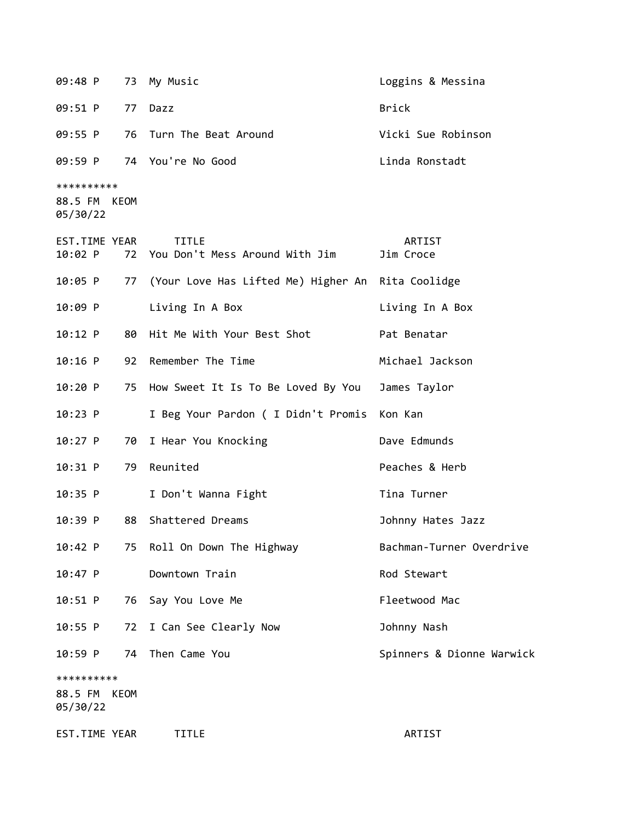09:48 P 73 My Music **Communist Communist Communist Communist Communist Communist Communist Communist Communist C** 09:51 P 77 Dazz Brick 09:55 P 76 Turn The Beat Around Vicki Sue Robinson 09:59 P 74 You're No Good Linda Ronstadt \*\*\*\*\*\*\*\*\*\* 88.5 FM KEOM 05/30/22 EST.TIME YEAR TITLE THE REST.TIME YEAR 10:02 P 72 You Don't Mess Around With Jim Jim Croce 10:05 P 77 (Your Love Has Lifted Me) Higher An Rita Coolidge 10:09 P Living In A Box Living In A Box 10:12 P 80 Hit Me With Your Best Shot Pat Benatar 10:16 P 92 Remember The Time Michael Jackson 10:20 P 75 How Sweet It Is To Be Loved By You James Taylor 10:23 P I Beg Your Pardon ( I Didn't Promis Kon Kan 10:27 P 70 I Hear You Knocking The Control Dave Edmunds 10:31 P 79 Reunited Peaches & Herb 10:35 P I Don't Wanna Fight Tina Turner 10:39 P 88 Shattered Dreams Johnny Hates Jazz 10:42 P 75 Roll On Down The Highway **Bachman-Turner Overdrive** 10:47 P Downtown Train **Rod Stewart** Rod Stewart 10:51 P 76 Say You Love Me Contract Contract Pleetwood Mac 10:55 P 72 I Can See Clearly Now Johnny Nash 10:59 P 74 Then Came You Spinners & Dionne Warwick \*\*\*\*\*\*\*\*\*\* 88.5 FM KEOM 05/30/22 EST.TIME YEAR TITLE ARTIST